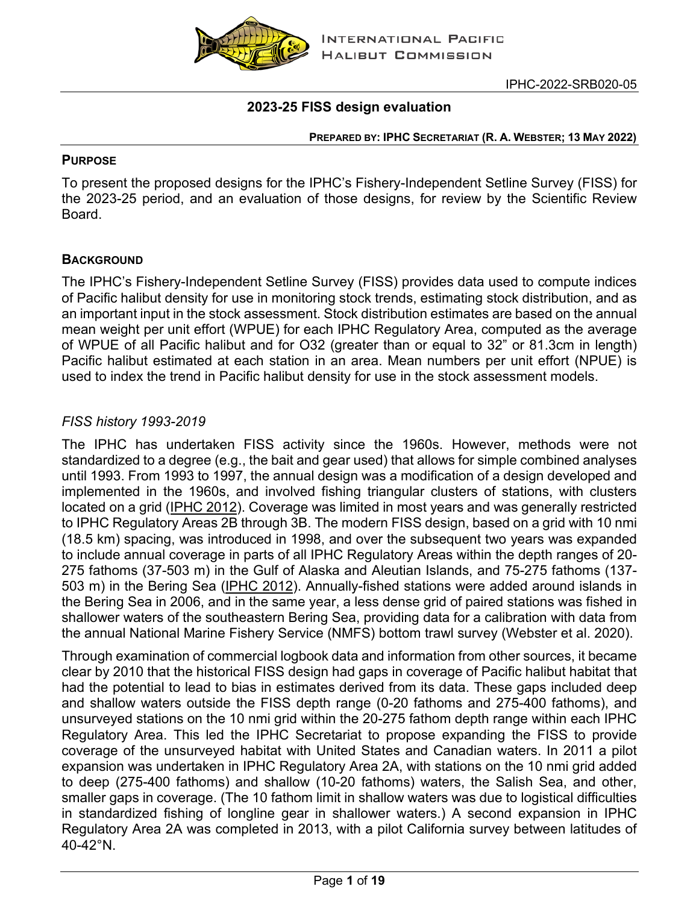

### **2023-25 FISS design evaluation**

#### **PREPARED BY: IPHC SECRETARIAT (R. A. WEBSTER; 13 MAY 2022)**

#### **PURPOSE**

To present the proposed designs for the IPHC's Fishery-Independent Setline Survey (FISS) for the 2023-25 period, and an evaluation of those designs, for review by the Scientific Review Board.

### **BACKGROUND**

The IPHC's Fishery-Independent Setline Survey (FISS) provides data used to compute indices of Pacific halibut density for use in monitoring stock trends, estimating stock distribution, and as an important input in the stock assessment. Stock distribution estimates are based on the annual mean weight per unit effort (WPUE) for each IPHC Regulatory Area, computed as the average of WPUE of all Pacific halibut and for O32 (greater than or equal to 32" or 81.3cm in length) Pacific halibut estimated at each station in an area. Mean numbers per unit effort (NPUE) is used to index the trend in Pacific halibut density for use in the stock assessment models.

### *FISS history 1993-2019*

The IPHC has undertaken FISS activity since the 1960s. However, methods were not standardized to a degree (e.g., the bait and gear used) that allows for simple combined analyses until 1993. From 1993 to 1997, the annual design was a modification of a design developed and implemented in the 1960s, and involved fishing triangular clusters of stations, with clusters located on a grid [\(IPHC](https://www.iphc.int/uploads/pdf/tr/IPHC-2012-TR058.pdf) 2012). Coverage was limited in most years and was generally restricted to IPHC Regulatory Areas 2B through 3B. The modern FISS design, based on a grid with 10 nmi (18.5 km) spacing, was introduced in 1998, and over the subsequent two years was expanded to include annual coverage in parts of all IPHC Regulatory Areas within the depth ranges of 20- 275 fathoms (37-503 m) in the Gulf of Alaska and Aleutian Islands, and 75-275 fathoms (137- 503 m) in the Bering Sea [\(IPHC](https://www.iphc.int/uploads/pdf/tr/IPHC-2012-TR058.pdf) 2012). Annually-fished stations were added around islands in the Bering Sea in 2006, and in the same year, a less dense grid of paired stations was fished in shallower waters of the southeastern Bering Sea, providing data for a calibration with data from the annual National Marine Fishery Service (NMFS) bottom trawl survey (Webster et al. 2020).

Through examination of commercial logbook data and information from other sources, it became clear by 2010 that the historical FISS design had gaps in coverage of Pacific halibut habitat that had the potential to lead to bias in estimates derived from its data. These gaps included deep and shallow waters outside the FISS depth range (0-20 fathoms and 275-400 fathoms), and unsurveyed stations on the 10 nmi grid within the 20-275 fathom depth range within each IPHC Regulatory Area. This led the IPHC Secretariat to propose expanding the FISS to provide coverage of the unsurveyed habitat with United States and Canadian waters. In 2011 a pilot expansion was undertaken in IPHC Regulatory Area 2A, with stations on the 10 nmi grid added to deep (275-400 fathoms) and shallow (10-20 fathoms) waters, the Salish Sea, and other, smaller gaps in coverage. (The 10 fathom limit in shallow waters was due to logistical difficulties in standardized fishing of longline gear in shallower waters.) A second expansion in IPHC Regulatory Area 2A was completed in 2013, with a pilot California survey between latitudes of 40-42°N.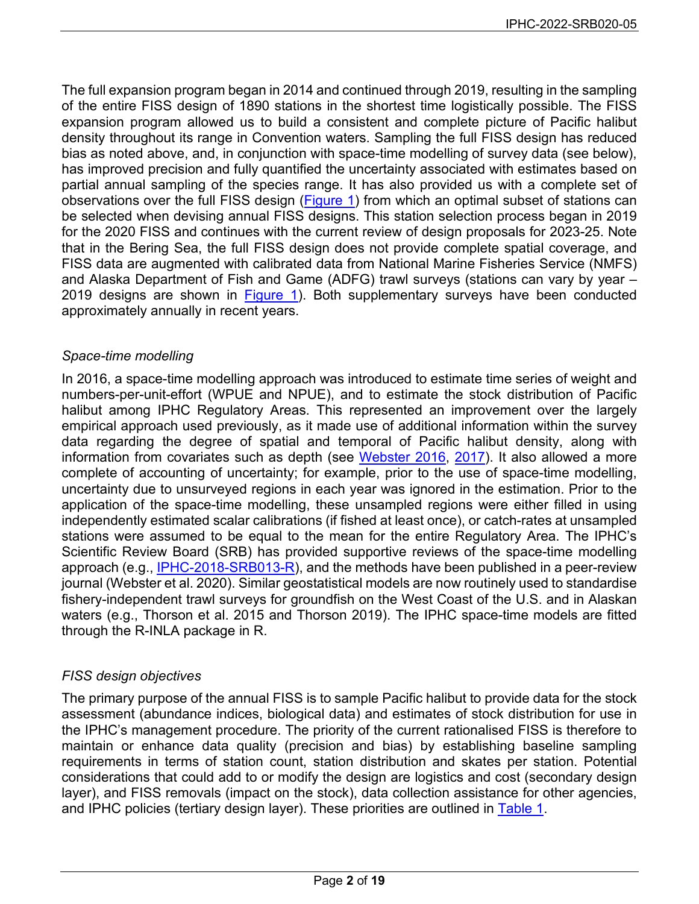The full expansion program began in 2014 and continued through 2019, resulting in the sampling of the entire FISS design of 1890 stations in the shortest time logistically possible. The FISS expansion program allowed us to build a consistent and complete picture of Pacific halibut density throughout its range in Convention waters. Sampling the full FISS design has reduced bias as noted above, and, in conjunction with space-time modelling of survey data (see below), has improved precision and fully quantified the uncertainty associated with estimates based on partial annual sampling of the species range. It has also provided us with a complete set of observations over the full FISS design [\(Figure 1\)](#page-11-0) from which an optimal subset of stations can be selected when devising annual FISS designs. This station selection process began in 2019 for the 2020 FISS and continues with the current review of design proposals for 2023-25. Note that in the Bering Sea, the full FISS design does not provide complete spatial coverage, and FISS data are augmented with calibrated data from National Marine Fisheries Service (NMFS) and Alaska Department of Fish and Game (ADFG) trawl surveys (stations can vary by year – 2019 designs are shown in [Figure 1\)](#page-11-0). Both supplementary surveys have been conducted approximately annually in recent years.

# *Space-time modelling*

In 2016, a space-time modelling approach was introduced to estimate time series of weight and numbers-per-unit-effort (WPUE and NPUE), and to estimate the stock distribution of Pacific halibut among IPHC Regulatory Areas. This represented an improvement over the largely empirical approach used previously, as it made use of additional information within the survey data regarding the degree of spatial and temporal of Pacific halibut density, along with information from covariates such as depth (see [Webster 2016,](https://www.iphc.int/uploads/pdf/rara/iphc-2015-rara25.pdf) [2017\)](https://www.iphc.int/uploads/pdf/rara/iphc-2016-rara26.pdf). It also allowed a more complete of accounting of uncertainty; for example, prior to the use of space-time modelling, uncertainty due to unsurveyed regions in each year was ignored in the estimation. Prior to the application of the space-time modelling, these unsampled regions were either filled in using independently estimated scalar calibrations (if fished at least once), or catch-rates at unsampled stations were assumed to be equal to the mean for the entire Regulatory Area. The IPHC's Scientific Review Board (SRB) has provided supportive reviews of the space-time modelling approach (e.g., [IPHC-2018-SRB013-R\)](https://www.iphc.int/uploads/pdf/srb/srb013/iphc-2018-srb013-r.pdf), and the methods have been published in a peer-review journal (Webster et al. 2020). Similar geostatistical models are now routinely used to standardise fishery-independent trawl surveys for groundfish on the West Coast of the U.S. and in Alaskan waters (e.g., Thorson et al. 2015 and Thorson 2019). The IPHC space-time models are fitted through the R-INLA package in R.

# *FISS design objectives*

The primary purpose of the annual FISS is to sample Pacific halibut to provide data for the stock assessment (abundance indices, biological data) and estimates of stock distribution for use in the IPHC's management procedure. The priority of the current rationalised FISS is therefore to maintain or enhance data quality (precision and bias) by establishing baseline sampling requirements in terms of station count, station distribution and skates per station. Potential considerations that could add to or modify the design are logistics and cost (secondary design layer), and FISS removals (impact on the stock), data collection assistance for other agencies, and IPHC policies (tertiary design layer). These priorities are outlined in [Table 1.](#page-2-0)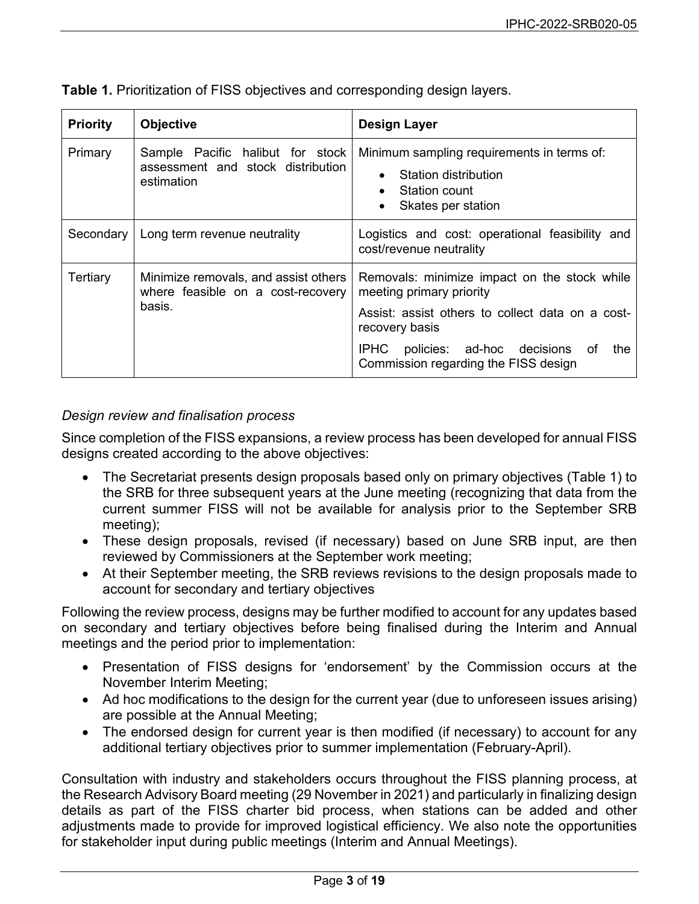| <b>Priority</b> | <b>Objective</b>                                                                    | <b>Design Layer</b>                                                                                                                                                                                                                    |
|-----------------|-------------------------------------------------------------------------------------|----------------------------------------------------------------------------------------------------------------------------------------------------------------------------------------------------------------------------------------|
| Primary         | Sample Pacific halibut for stock<br>assessment and stock distribution<br>estimation | Minimum sampling requirements in terms of:<br>Station distribution<br>$\bullet$<br>Station count<br>$\bullet$<br>Skates per station<br>$\bullet$                                                                                       |
| Secondary       | Long term revenue neutrality                                                        | Logistics and cost: operational feasibility and<br>cost/revenue neutrality                                                                                                                                                             |
| Tertiary        | Minimize removals, and assist others<br>where feasible on a cost-recovery<br>basis. | Removals: minimize impact on the stock while<br>meeting primary priority<br>Assist: assist others to collect data on a cost-<br>recovery basis<br>IPHC policies: ad-hoc decisions<br>of<br>the<br>Commission regarding the FISS design |

<span id="page-2-0"></span>**Table 1.** Prioritization of FISS objectives and corresponding design layers.

# *Design review and finalisation process*

Since completion of the FISS expansions, a review process has been developed for annual FISS designs created according to the above objectives:

- The Secretariat presents design proposals based only on primary objectives (Table 1) to the SRB for three subsequent years at the June meeting (recognizing that data from the current summer FISS will not be available for analysis prior to the September SRB meeting);
- These design proposals, revised (if necessary) based on June SRB input, are then reviewed by Commissioners at the September work meeting;
- At their September meeting, the SRB reviews revisions to the design proposals made to account for secondary and tertiary objectives

Following the review process, designs may be further modified to account for any updates based on secondary and tertiary objectives before being finalised during the Interim and Annual meetings and the period prior to implementation:

- Presentation of FISS designs for 'endorsement' by the Commission occurs at the November Interim Meeting;
- Ad hoc modifications to the design for the current year (due to unforeseen issues arising) are possible at the Annual Meeting;
- The endorsed design for current year is then modified (if necessary) to account for any additional tertiary objectives prior to summer implementation (February-April).

Consultation with industry and stakeholders occurs throughout the FISS planning process, at the Research Advisory Board meeting (29 November in 2021) and particularly in finalizing design details as part of the FISS charter bid process, when stations can be added and other adjustments made to provide for improved logistical efficiency. We also note the opportunities for stakeholder input during public meetings (Interim and Annual Meetings).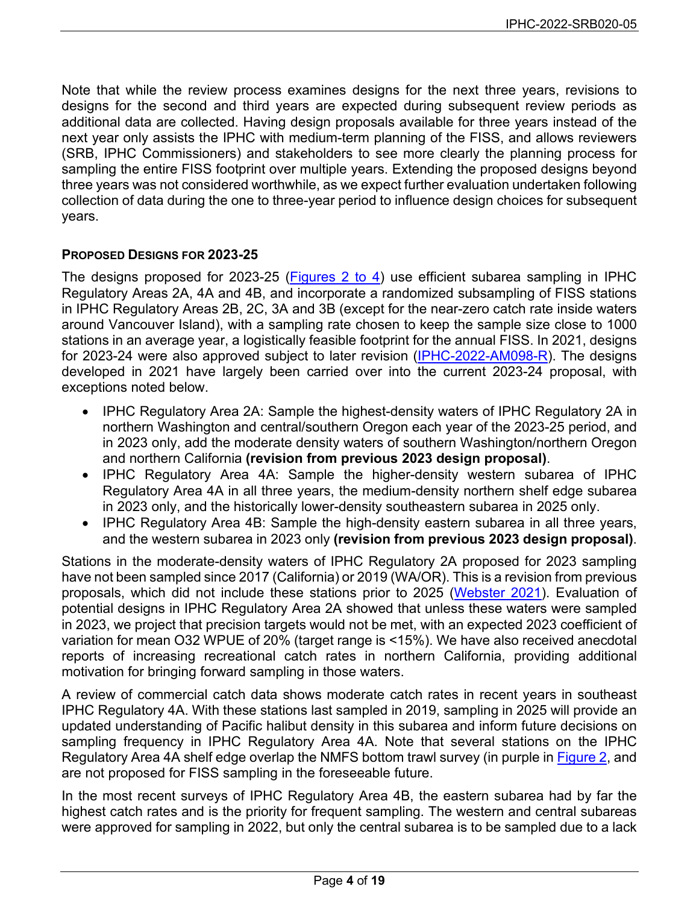Note that while the review process examines designs for the next three years, revisions to designs for the second and third years are expected during subsequent review periods as additional data are collected. Having design proposals available for three years instead of the next year only assists the IPHC with medium-term planning of the FISS, and allows reviewers (SRB, IPHC Commissioners) and stakeholders to see more clearly the planning process for sampling the entire FISS footprint over multiple years. Extending the proposed designs beyond three years was not considered worthwhile, as we expect further evaluation undertaken following collection of data during the one to three-year period to influence design choices for subsequent years.

#### **PROPOSED DESIGNS FOR 2023-25**

The designs proposed for 2023-25 [\(Figures 2 to 4\)](#page-12-0) use efficient subarea sampling in IPHC Regulatory Areas 2A, 4A and 4B, and incorporate a randomized subsampling of FISS stations in IPHC Regulatory Areas 2B, 2C, 3A and 3B (except for the near-zero catch rate inside waters around Vancouver Island), with a sampling rate chosen to keep the sample size close to 1000 stations in an average year, a logistically feasible footprint for the annual FISS. In 2021, designs for 2023-24 were also approved subject to later revision [\(IPHC-2022-AM098-R\)](https://www.iphc.int/uploads/pdf/am/am098/iphc-2022-am098-r.pdf). The designs developed in 2021 have largely been carried over into the current 2023-24 proposal, with exceptions noted below.

- IPHC Regulatory Area 2A: Sample the highest-density waters of IPHC Regulatory 2A in northern Washington and central/southern Oregon each year of the 2023-25 period, and in 2023 only, add the moderate density waters of southern Washington/northern Oregon and northern California **(revision from previous 2023 design proposal)**.
- IPHC Regulatory Area 4A: Sample the higher-density western subarea of IPHC Regulatory Area 4A in all three years, the medium-density northern shelf edge subarea in 2023 only, and the historically lower-density southeastern subarea in 2025 only.
- IPHC Regulatory Area 4B: Sample the high-density eastern subarea in all three years, and the western subarea in 2023 only **(revision from previous 2023 design proposal)**.

Stations in the moderate-density waters of IPHC Regulatory 2A proposed for 2023 sampling have not been sampled since 2017 (California) or 2019 (WA/OR). This is a revision from previous proposals, which did not include these stations prior to 2025 [\(Webster 2021\)](https://www.iphc.int/uploads/pdf/srb/srb018/iphc-2021-srb018-05.pdf). Evaluation of potential designs in IPHC Regulatory Area 2A showed that unless these waters were sampled in 2023, we project that precision targets would not be met, with an expected 2023 coefficient of variation for mean O32 WPUE of 20% (target range is <15%). We have also received anecdotal reports of increasing recreational catch rates in northern California, providing additional motivation for bringing forward sampling in those waters.

A review of commercial catch data shows moderate catch rates in recent years in southeast IPHC Regulatory 4A. With these stations last sampled in 2019, sampling in 2025 will provide an updated understanding of Pacific halibut density in this subarea and inform future decisions on sampling frequency in IPHC Regulatory Area 4A. Note that several stations on the IPHC Regulatory Area 4A shelf edge overlap the NMFS bottom trawl survey (in purple in [Figure 2,](#page-12-0) and are not proposed for FISS sampling in the foreseeable future.

In the most recent surveys of IPHC Regulatory Area 4B, the eastern subarea had by far the highest catch rates and is the priority for frequent sampling. The western and central subareas were approved for sampling in 2022, but only the central subarea is to be sampled due to a lack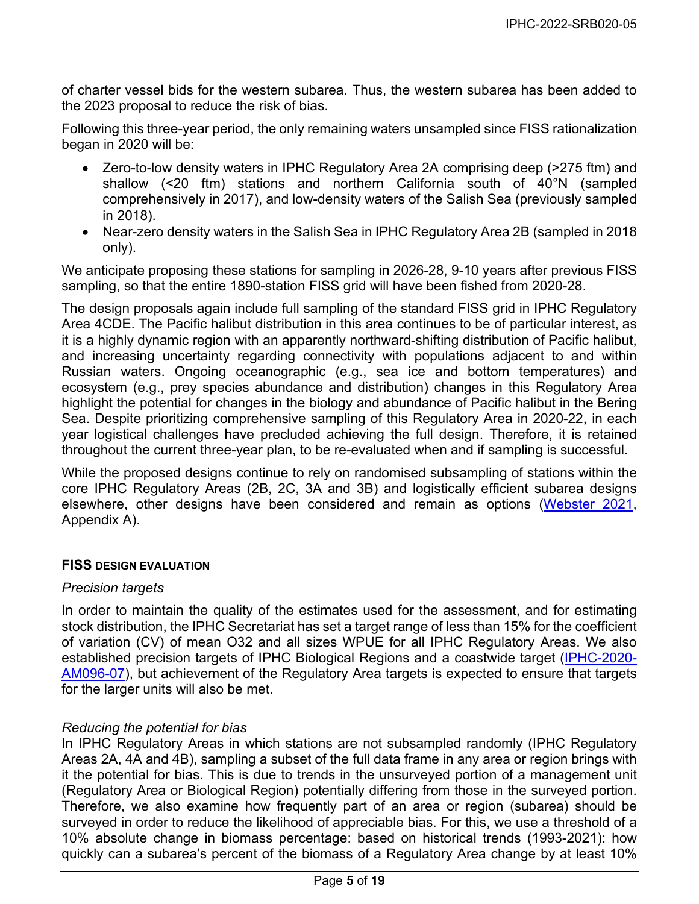of charter vessel bids for the western subarea. Thus, the western subarea has been added to the 2023 proposal to reduce the risk of bias.

Following this three-year period, the only remaining waters unsampled since FISS rationalization began in 2020 will be:

- Zero-to-low density waters in IPHC Regulatory Area 2A comprising deep (>275 ftm) and shallow (<20 ftm) stations and northern California south of 40°N (sampled comprehensively in 2017), and low-density waters of the Salish Sea (previously sampled in 2018).
- Near-zero density waters in the Salish Sea in IPHC Regulatory Area 2B (sampled in 2018 only).

We anticipate proposing these stations for sampling in 2026-28, 9-10 years after previous FISS sampling, so that the entire 1890-station FISS grid will have been fished from 2020-28.

The design proposals again include full sampling of the standard FISS grid in IPHC Regulatory Area 4CDE. The Pacific halibut distribution in this area continues to be of particular interest, as it is a highly dynamic region with an apparently northward-shifting distribution of Pacific halibut, and increasing uncertainty regarding connectivity with populations adjacent to and within Russian waters. Ongoing oceanographic (e.g., sea ice and bottom temperatures) and ecosystem (e.g., prey species abundance and distribution) changes in this Regulatory Area highlight the potential for changes in the biology and abundance of Pacific halibut in the Bering Sea. Despite prioritizing comprehensive sampling of this Regulatory Area in 2020-22, in each year logistical challenges have precluded achieving the full design. Therefore, it is retained throughout the current three-year plan, to be re-evaluated when and if sampling is successful.

While the proposed designs continue to rely on randomised subsampling of stations within the core IPHC Regulatory Areas (2B, 2C, 3A and 3B) and logistically efficient subarea designs elsewhere, other designs have been considered and remain as options [\(Webster 2021,](https://www.iphc.int/uploads/pdf/srb/srb018/iphc-2021-srb018-05.pdf) Appendix A).

#### **FISS DESIGN EVALUATION**

#### *Precision targets*

In order to maintain the quality of the estimates used for the assessment, and for estimating stock distribution, the IPHC Secretariat has set a target range of less than 15% for the coefficient of variation (CV) of mean O32 and all sizes WPUE for all IPHC Regulatory Areas. We also established precision targets of IPHC Biological Regions and a coastwide target [\(IPHC-2020-](https://www.iphc.int/uploads/pdf/am/2020am/iphc-2020-am096-07.pdf) [AM096-07\)](https://www.iphc.int/uploads/pdf/am/2020am/iphc-2020-am096-07.pdf), but achievement of the Regulatory Area targets is expected to ensure that targets for the larger units will also be met.

#### *Reducing the potential for bias*

In IPHC Regulatory Areas in which stations are not subsampled randomly (IPHC Regulatory Areas 2A, 4A and 4B), sampling a subset of the full data frame in any area or region brings with it the potential for bias. This is due to trends in the unsurveyed portion of a management unit (Regulatory Area or Biological Region) potentially differing from those in the surveyed portion. Therefore, we also examine how frequently part of an area or region (subarea) should be surveyed in order to reduce the likelihood of appreciable bias. For this, we use a threshold of a 10% absolute change in biomass percentage: based on historical trends (1993-2021): how quickly can a subarea's percent of the biomass of a Regulatory Area change by at least 10%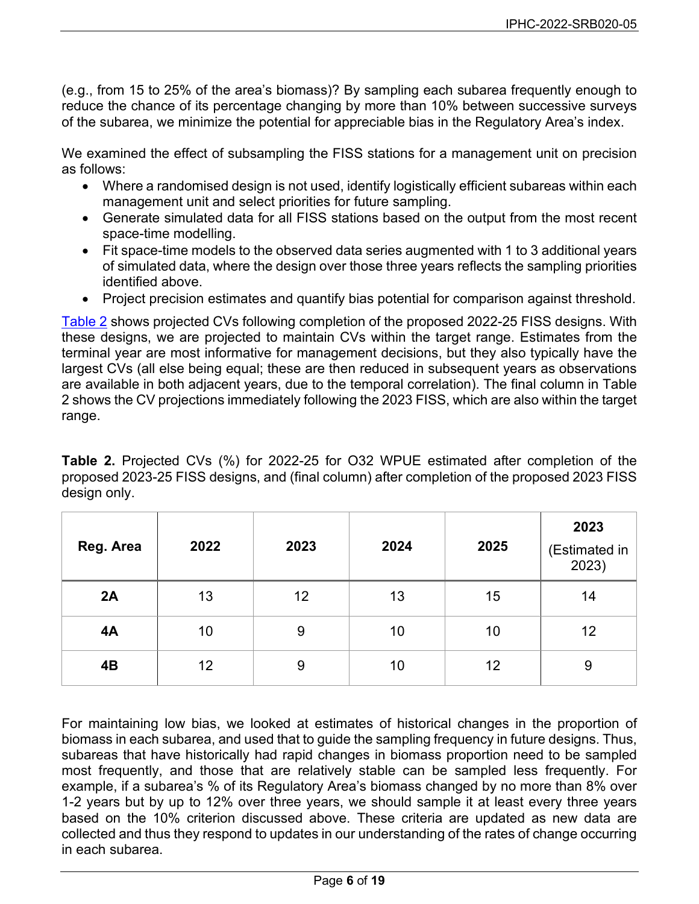(e.g., from 15 to 25% of the area's biomass)? By sampling each subarea frequently enough to reduce the chance of its percentage changing by more than 10% between successive surveys of the subarea, we minimize the potential for appreciable bias in the Regulatory Area's index.

We examined the effect of subsampling the FISS stations for a management unit on precision as follows:

- Where a randomised design is not used, identify logistically efficient subareas within each management unit and select priorities for future sampling.
- Generate simulated data for all FISS stations based on the output from the most recent space-time modelling.
- Fit space-time models to the observed data series augmented with 1 to 3 additional years of simulated data, where the design over those three years reflects the sampling priorities identified above.
- Project precision estimates and quantify bias potential for comparison against threshold.

[Table 2](#page-5-0) shows projected CVs following completion of the proposed 2022-25 FISS designs. With these designs, we are projected to maintain CVs within the target range. Estimates from the terminal year are most informative for management decisions, but they also typically have the largest CVs (all else being equal; these are then reduced in subsequent years as observations are available in both adjacent years, due to the temporal correlation). The final column in Table 2 shows the CV projections immediately following the 2023 FISS, which are also within the target range.

<span id="page-5-0"></span>**Table 2.** Projected CVs (%) for 2022-25 for O32 WPUE estimated after completion of the proposed 2023-25 FISS designs, and (final column) after completion of the proposed 2023 FISS design only.

| Reg. Area | 2022 | 2023 | 2024 | 2025 | 2023<br>(Estimated in<br>2023) |
|-----------|------|------|------|------|--------------------------------|
| 2A        | 13   | 12   | 13   | 15   | 14                             |
| 4A        | 10   | 9    | 10   | 10   | 12                             |
| 4B        | 12   | 9    | 10   | 12   | 9                              |

For maintaining low bias, we looked at estimates of historical changes in the proportion of biomass in each subarea, and used that to guide the sampling frequency in future designs. Thus, subareas that have historically had rapid changes in biomass proportion need to be sampled most frequently, and those that are relatively stable can be sampled less frequently. For example, if a subarea's % of its Regulatory Area's biomass changed by no more than 8% over 1-2 years but by up to 12% over three years, we should sample it at least every three years based on the 10% criterion discussed above. These criteria are updated as new data are collected and thus they respond to updates in our understanding of the rates of change occurring in each subarea.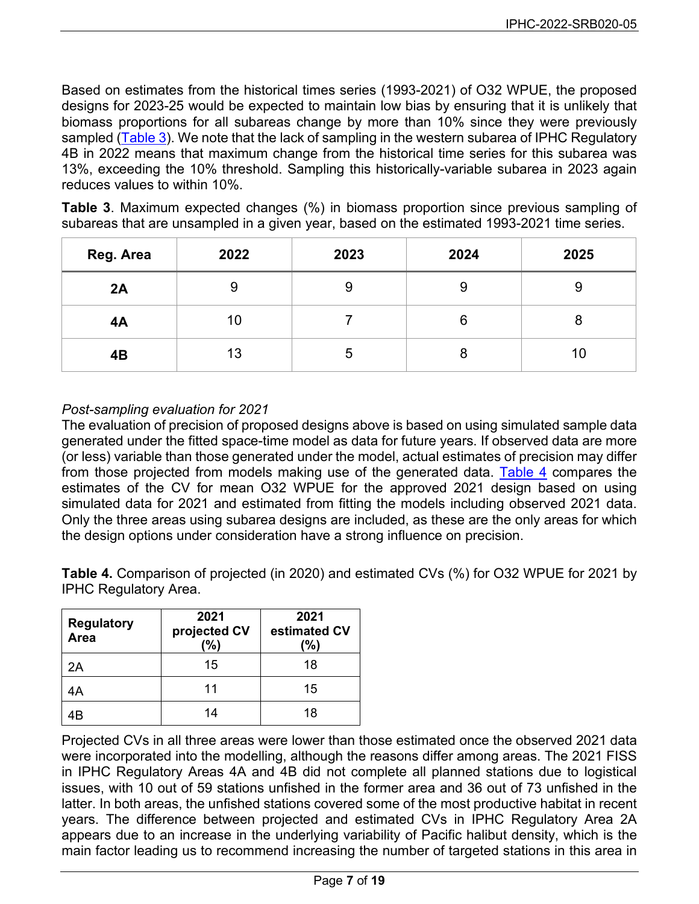Based on estimates from the historical times series (1993-2021) of O32 WPUE, the proposed designs for 2023-25 would be expected to maintain low bias by ensuring that it is unlikely that biomass proportions for all subareas change by more than 10% since they were previously sampled [\(Table 3\)](#page-6-0). We note that the lack of sampling in the western subarea of IPHC Regulatory 4B in 2022 means that maximum change from the historical time series for this subarea was 13%, exceeding the 10% threshold. Sampling this historically-variable subarea in 2023 again reduces values to within 10%.

<span id="page-6-0"></span>**Table 3**. Maximum expected changes (%) in biomass proportion since previous sampling of subareas that are unsampled in a given year, based on the estimated 1993-2021 time series.

| Reg. Area | 2022 | 2023 | 2024 | 2025 |
|-----------|------|------|------|------|
| 2A        | 9    |      | 9    | 9    |
| 4A        | 10   |      | 6    |      |
| 4B        | 13   |      | 8    | 10   |

# *Post-sampling evaluation for 2021*

The evaluation of precision of proposed designs above is based on using simulated sample data generated under the fitted space-time model as data for future years. If observed data are more (or less) variable than those generated under the model, actual estimates of precision may differ from those projected from models making use of the generated data. [Table 4](#page-6-1) compares the estimates of the CV for mean O32 WPUE for the approved 2021 design based on using simulated data for 2021 and estimated from fitting the models including observed 2021 data. Only the three areas using subarea designs are included, as these are the only areas for which the design options under consideration have a strong influence on precision.

<span id="page-6-1"></span>**Table 4.** Comparison of projected (in 2020) and estimated CVs (%) for O32 WPUE for 2021 by IPHC Regulatory Area.

| <b>Regulatory</b><br>Area | 2021<br>projected CV<br>(%) | 2021<br>estimated CV<br>(%) |
|---------------------------|-----------------------------|-----------------------------|
| 2Α                        | 15                          | 18                          |
| 4A                        | 11                          | 15                          |
| 4B                        | 14                          | 18                          |

Projected CVs in all three areas were lower than those estimated once the observed 2021 data were incorporated into the modelling, although the reasons differ among areas. The 2021 FISS in IPHC Regulatory Areas 4A and 4B did not complete all planned stations due to logistical issues, with 10 out of 59 stations unfished in the former area and 36 out of 73 unfished in the latter. In both areas, the unfished stations covered some of the most productive habitat in recent years. The difference between projected and estimated CVs in IPHC Regulatory Area 2A appears due to an increase in the underlying variability of Pacific halibut density, which is the main factor leading us to recommend increasing the number of targeted stations in this area in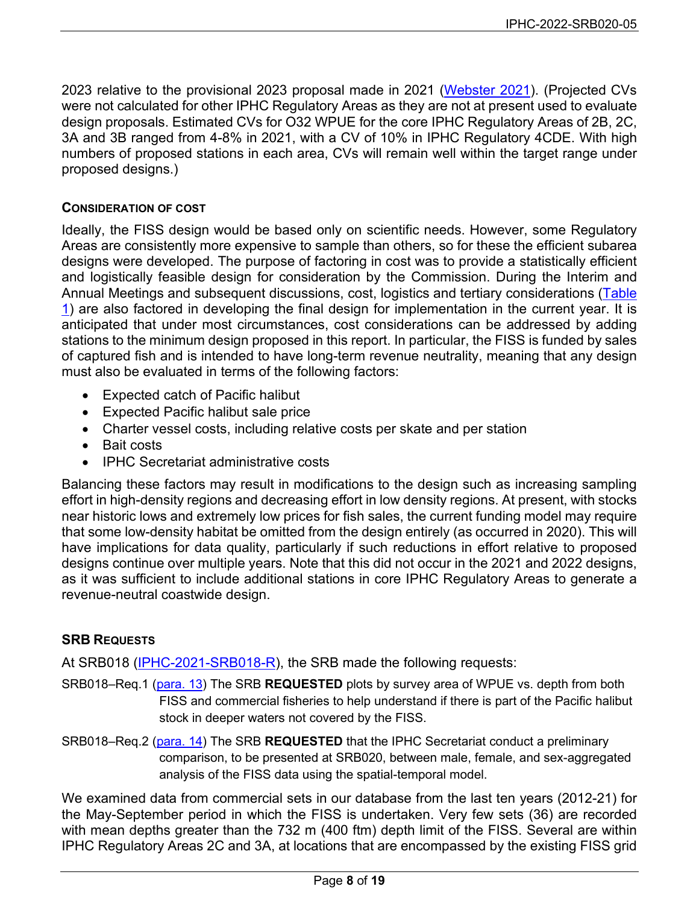2023 relative to the provisional 2023 proposal made in 2021 [\(Webster 2021\)](https://www.iphc.int/uploads/pdf/srb/srb018/iphc-2021-srb018-05.pdf). (Projected CVs were not calculated for other IPHC Regulatory Areas as they are not at present used to evaluate design proposals. Estimated CVs for O32 WPUE for the core IPHC Regulatory Areas of 2B, 2C, 3A and 3B ranged from 4-8% in 2021, with a CV of 10% in IPHC Regulatory 4CDE. With high numbers of proposed stations in each area, CVs will remain well within the target range under proposed designs.)

#### **CONSIDERATION OF COST**

Ideally, the FISS design would be based only on scientific needs. However, some Regulatory Areas are consistently more expensive to sample than others, so for these the efficient subarea designs were developed. The purpose of factoring in cost was to provide a statistically efficient and logistically feasible design for consideration by the Commission. During the Interim and Annual Meetings and subsequent discussions, cost, logistics and tertiary considerations [\(Table](#page-2-0)  [1\)](#page-2-0) are also factored in developing the final design for implementation in the current year. It is anticipated that under most circumstances, cost considerations can be addressed by adding stations to the minimum design proposed in this report. In particular, the FISS is funded by sales of captured fish and is intended to have long-term revenue neutrality, meaning that any design must also be evaluated in terms of the following factors:

- Expected catch of Pacific halibut
- Expected Pacific halibut sale price
- Charter vessel costs, including relative costs per skate and per station
- Bait costs
- IPHC Secretariat administrative costs

Balancing these factors may result in modifications to the design such as increasing sampling effort in high-density regions and decreasing effort in low density regions. At present, with stocks near historic lows and extremely low prices for fish sales, the current funding model may require that some low-density habitat be omitted from the design entirely (as occurred in 2020). This will have implications for data quality, particularly if such reductions in effort relative to proposed designs continue over multiple years. Note that this did not occur in the 2021 and 2022 designs, as it was sufficient to include additional stations in core IPHC Regulatory Areas to generate a revenue-neutral coastwide design.

#### **SRB REQUESTS**

At SRB018 [\(IPHC-2021-SRB018-R\)](https://www.iphc.int/uploads/pdf/srb/srb018/iphc-2021-srb018-r.pdf), the SRB made the following requests:

- SRB018–Req.1 (para. 13) The SRB **REQUESTED** plots by survey area of WPUE vs. depth from both FISS and commercial fisheries to help understand if there is part of the Pacific halibut stock in deeper waters not covered by the FISS.
- SRB018–Req.2 (para. 14) The SRB **REQUESTED** that the IPHC Secretariat conduct a preliminary comparison, to be presented at SRB020, between male, female, and sex-aggregated analysis of the FISS data using the spatial-temporal model.

We examined data from commercial sets in our database from the last ten years (2012-21) for the May-September period in which the FISS is undertaken. Very few sets (36) are recorded with mean depths greater than the 732 m (400 ftm) depth limit of the FISS. Several are within IPHC Regulatory Areas 2C and 3A, at locations that are encompassed by the existing FISS grid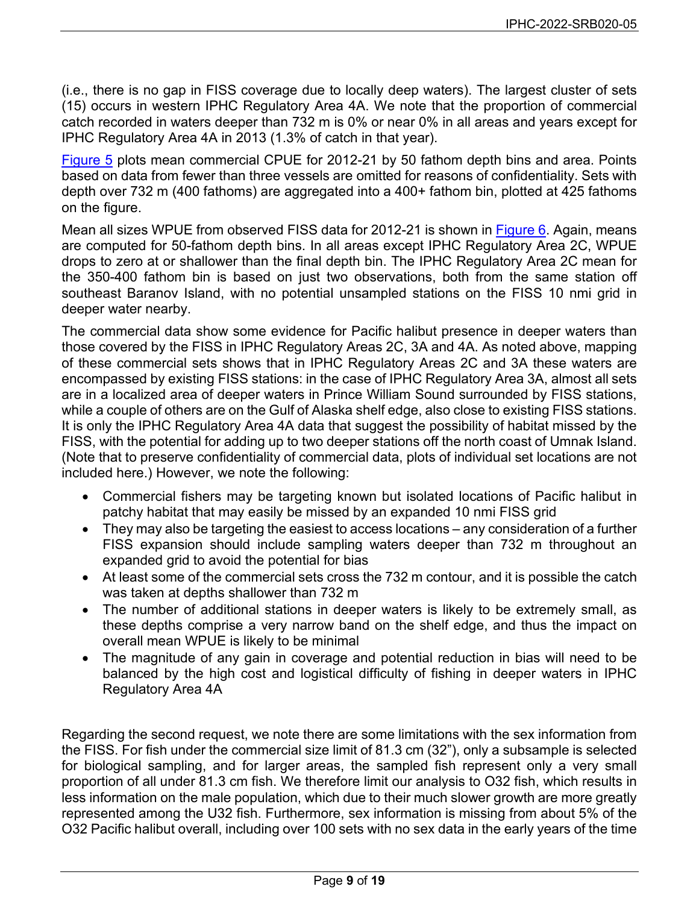(i.e., there is no gap in FISS coverage due to locally deep waters). The largest cluster of sets (15) occurs in western IPHC Regulatory Area 4A. We note that the proportion of commercial catch recorded in waters deeper than 732 m is 0% or near 0% in all areas and years except for IPHC Regulatory Area 4A in 2013 (1.3% of catch in that year).

[Figure 5](#page-15-0) plots mean commercial CPUE for 2012-21 by 50 fathom depth bins and area. Points based on data from fewer than three vessels are omitted for reasons of confidentiality. Sets with depth over 732 m (400 fathoms) are aggregated into a 400+ fathom bin, plotted at 425 fathoms on the figure.

Mean all sizes WPUE from observed FISS data for 2012-21 is shown in [Figure 6.](#page-16-0) Again, means are computed for 50-fathom depth bins. In all areas except IPHC Regulatory Area 2C, WPUE drops to zero at or shallower than the final depth bin. The IPHC Regulatory Area 2C mean for the 350-400 fathom bin is based on just two observations, both from the same station off southeast Baranov Island, with no potential unsampled stations on the FISS 10 nmi grid in deeper water nearby.

The commercial data show some evidence for Pacific halibut presence in deeper waters than those covered by the FISS in IPHC Regulatory Areas 2C, 3A and 4A. As noted above, mapping of these commercial sets shows that in IPHC Regulatory Areas 2C and 3A these waters are encompassed by existing FISS stations: in the case of IPHC Regulatory Area 3A, almost all sets are in a localized area of deeper waters in Prince William Sound surrounded by FISS stations, while a couple of others are on the Gulf of Alaska shelf edge, also close to existing FISS stations. It is only the IPHC Regulatory Area 4A data that suggest the possibility of habitat missed by the FISS, with the potential for adding up to two deeper stations off the north coast of Umnak Island. (Note that to preserve confidentiality of commercial data, plots of individual set locations are not included here.) However, we note the following:

- Commercial fishers may be targeting known but isolated locations of Pacific halibut in patchy habitat that may easily be missed by an expanded 10 nmi FISS grid
- They may also be targeting the easiest to access locations any consideration of a further FISS expansion should include sampling waters deeper than 732 m throughout an expanded grid to avoid the potential for bias
- At least some of the commercial sets cross the 732 m contour, and it is possible the catch was taken at depths shallower than 732 m
- The number of additional stations in deeper waters is likely to be extremely small, as these depths comprise a very narrow band on the shelf edge, and thus the impact on overall mean WPUE is likely to be minimal
- The magnitude of any gain in coverage and potential reduction in bias will need to be balanced by the high cost and logistical difficulty of fishing in deeper waters in IPHC Regulatory Area 4A

Regarding the second request, we note there are some limitations with the sex information from the FISS. For fish under the commercial size limit of 81.3 cm (32"), only a subsample is selected for biological sampling, and for larger areas, the sampled fish represent only a very small proportion of all under 81.3 cm fish. We therefore limit our analysis to O32 fish, which results in less information on the male population, which due to their much slower growth are more greatly represented among the U32 fish. Furthermore, sex information is missing from about 5% of the O32 Pacific halibut overall, including over 100 sets with no sex data in the early years of the time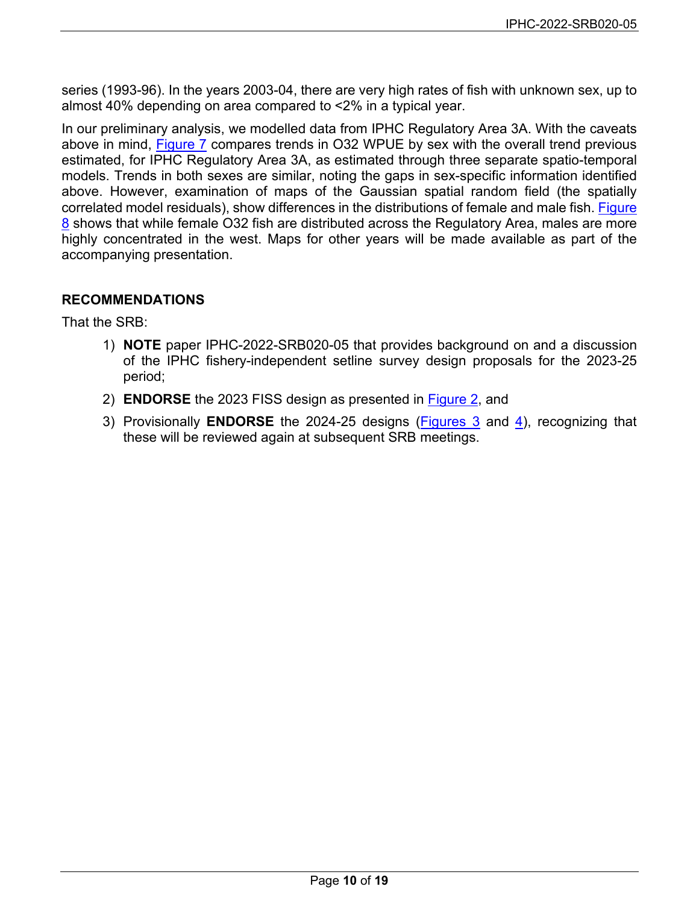series (1993-96). In the years 2003-04, there are very high rates of fish with unknown sex, up to almost 40% depending on area compared to <2% in a typical year.

In our preliminary analysis, we modelled data from IPHC Regulatory Area 3A. With the caveats above in mind, [Figure 7](#page-17-0) compares trends in O32 WPUE by sex with the overall trend previous estimated, for IPHC Regulatory Area 3A, as estimated through three separate spatio-temporal models. Trends in both sexes are similar, noting the gaps in sex-specific information identified above. However, examination of maps of the Gaussian spatial random field (the spatially correlated model residuals), show differences in the distributions of female and male fish. [Figure](#page-18-0)  [8](#page-18-0) shows that while female O32 fish are distributed across the Regulatory Area, males are more highly concentrated in the west. Maps for other years will be made available as part of the accompanying presentation.

# **RECOMMENDATIONS**

That the SRB:

- 1) **NOTE** paper IPHC-2022-SRB020-05 that provides background on and a discussion of the IPHC fishery-independent setline survey design proposals for the 2023-25 period;
- 2) **ENDORSE** the 2023 FISS design as presented in [Figure 2,](#page-12-0) and
- 3) Provisionally **ENDORSE** the 2024-25 designs [\(Figures 3](#page-13-0) and [4\)](#page-14-0), recognizing that these will be reviewed again at subsequent SRB meetings.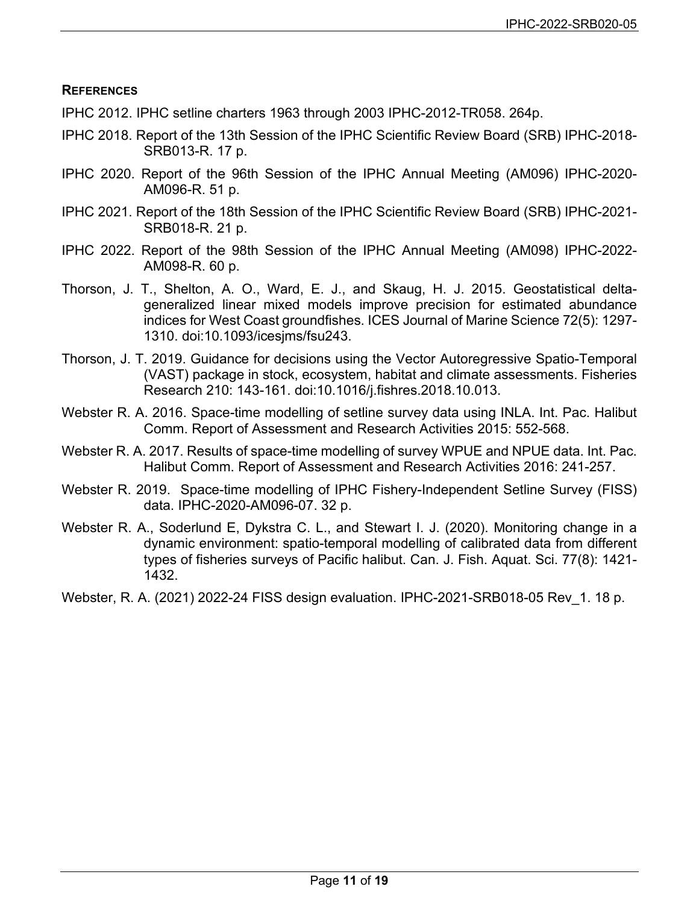### **REFERENCES**

- IPHC 2012. IPHC setline charters 1963 through 2003 IPHC-2012-TR058. 264p.
- IPHC 2018. Report of the 13th Session of the IPHC Scientific Review Board (SRB) IPHC-2018- SRB013-R. 17 p.
- IPHC 2020. Report of the 96th Session of the IPHC Annual Meeting (AM096) IPHC-2020- AM096-R. 51 p.
- IPHC 2021. Report of the 18th Session of the IPHC Scientific Review Board (SRB) IPHC-2021- SRB018-R. 21 p.
- IPHC 2022. Report of the 98th Session of the IPHC Annual Meeting (AM098) IPHC-2022- AM098-R. 60 p.
- Thorson, J. T., Shelton, A. O., Ward, E. J., and Skaug, H. J. 2015. Geostatistical deltageneralized linear mixed models improve precision for estimated abundance indices for West Coast groundfishes. ICES Journal of Marine Science 72(5): 1297- 1310. doi:10.1093/icesjms/fsu243.
- Thorson, J. T. 2019. Guidance for decisions using the Vector Autoregressive Spatio-Temporal (VAST) package in stock, ecosystem, habitat and climate assessments. Fisheries Research 210: 143-161. doi:10.1016/j.fishres.2018.10.013.
- Webster R. A. 2016. Space-time modelling of setline survey data using INLA. Int. Pac. Halibut Comm. Report of Assessment and Research Activities 2015: 552-568.
- Webster R. A. 2017. Results of space-time modelling of survey WPUE and NPUE data. Int. Pac. Halibut Comm. Report of Assessment and Research Activities 2016: 241-257.
- Webster R. 2019. Space-time modelling of IPHC Fishery-Independent Setline Survey (FISS) data. IPHC-2020-AM096-07. 32 p.
- Webster R. A., Soderlund E, Dykstra C. L., and Stewart I. J. (2020). Monitoring change in a dynamic environment: spatio-temporal modelling of calibrated data from different types of fisheries surveys of Pacific halibut. Can. J. Fish. Aquat. Sci. 77(8): 1421- 1432.
- Webster, R. A. (2021) 2022-24 FISS design evaluation. IPHC-2021-SRB018-05 Rev\_1. 18 p.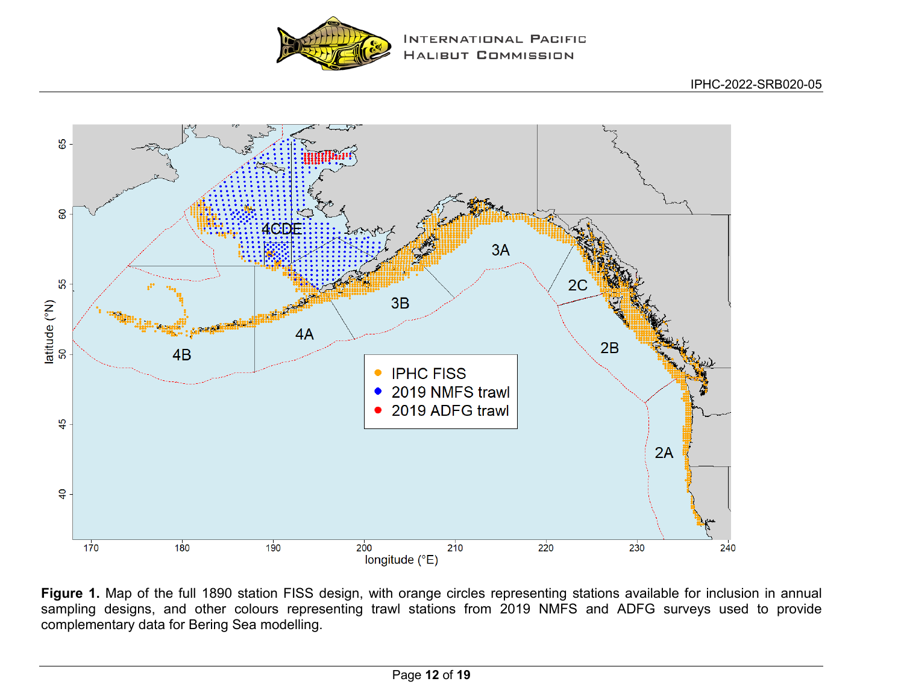



<span id="page-11-0"></span>**Figure 1.** Map of the full 1890 station FISS design, with orange circles representing stations available for inclusion in annual sampling designs, and other colours representing trawl stations from 2019 NMFS and ADFG surveys used to provide complementary data for Bering Sea modelling.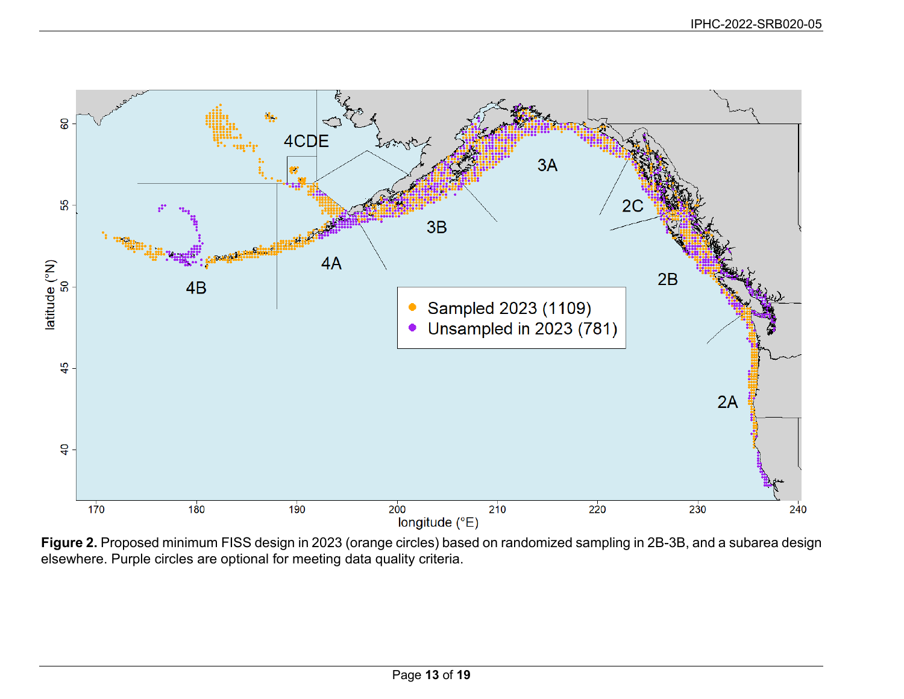<span id="page-12-0"></span>

**Figure 2.** Proposed minimum FISS design in 2023 (orange circles) based on randomized sampling in 2B-3B, and a subarea design elsewhere. Purple circles are optional for meeting data quality criteria.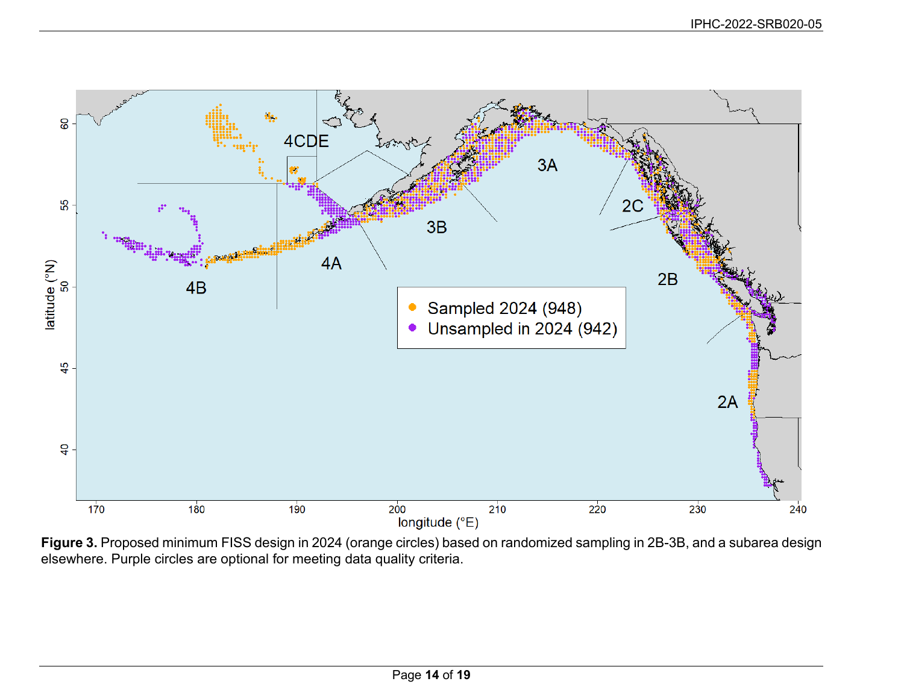<span id="page-13-0"></span>

**Figure 3.** Proposed minimum FISS design in 2024 (orange circles) based on randomized sampling in 2B-3B, and a subarea design elsewhere. Purple circles are optional for meeting data quality criteria.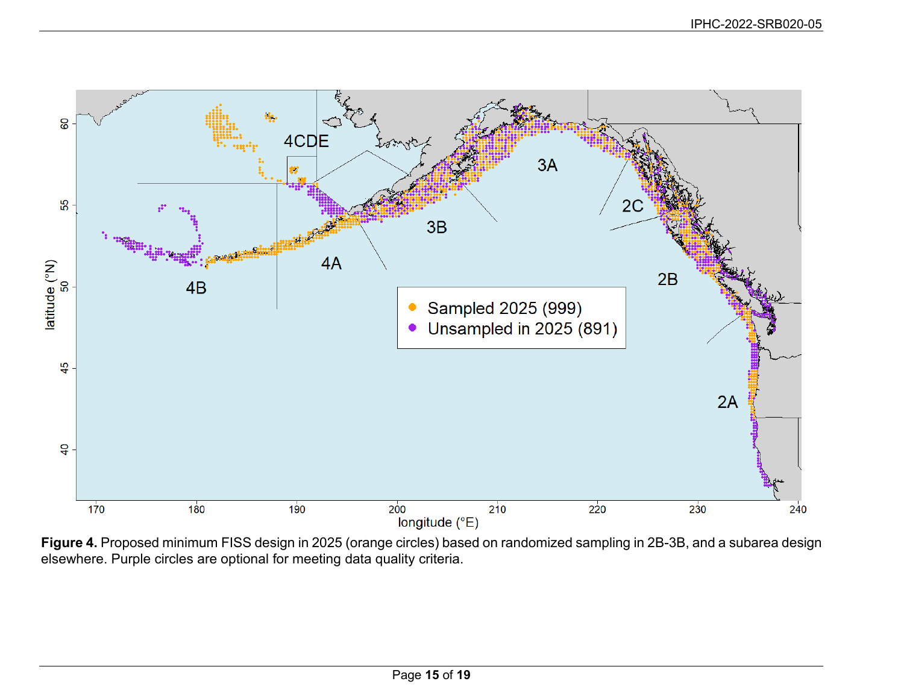<span id="page-14-0"></span>

**Figure 4.** Proposed minimum FISS design in 2025 (orange circles) based on randomized sampling in 2B-3B, and a subarea design elsewhere. Purple circles are optional for meeting data quality criteria.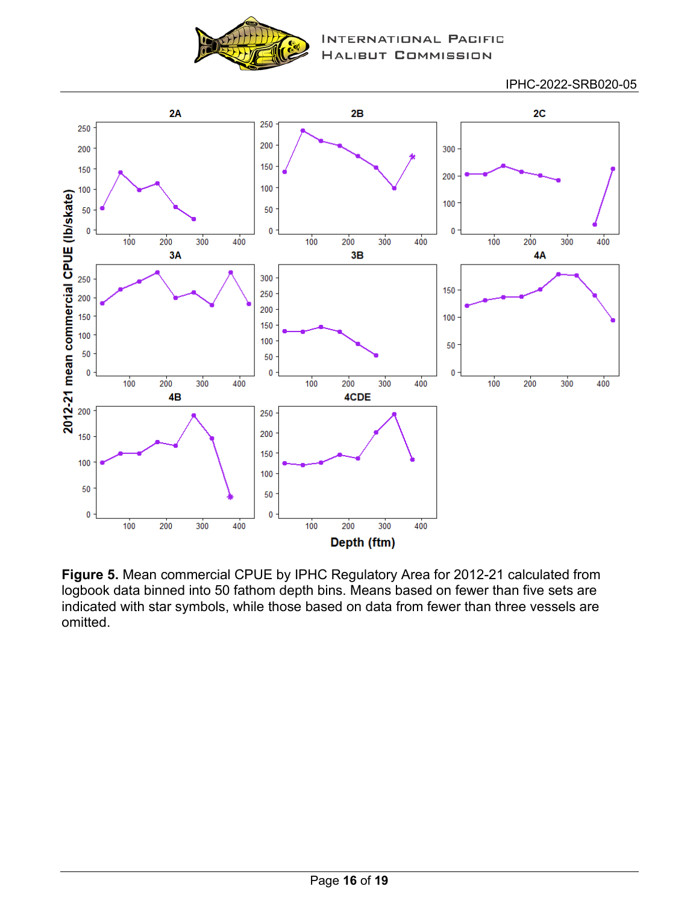

**TERNATIONAL PACIFIC** LIBUT COMMISSION

IPHC-2022-SRB020-05



<span id="page-15-0"></span>**Figure 5.** Mean commercial CPUE by IPHC Regulatory Area for 2012-21 calculated from logbook data binned into 50 fathom depth bins. Means based on fewer than five sets are indicated with star symbols, while those based on data from fewer than three vessels are omitted.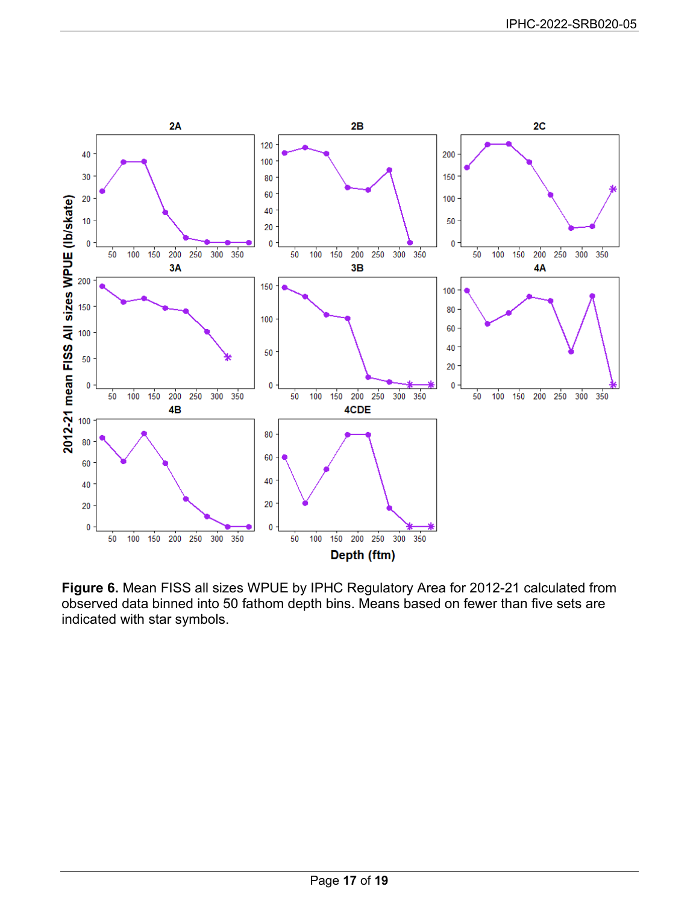<span id="page-16-0"></span>

**Figure 6.** Mean FISS all sizes WPUE by IPHC Regulatory Area for 2012-21 calculated from observed data binned into 50 fathom depth bins. Means based on fewer than five sets are indicated with star symbols.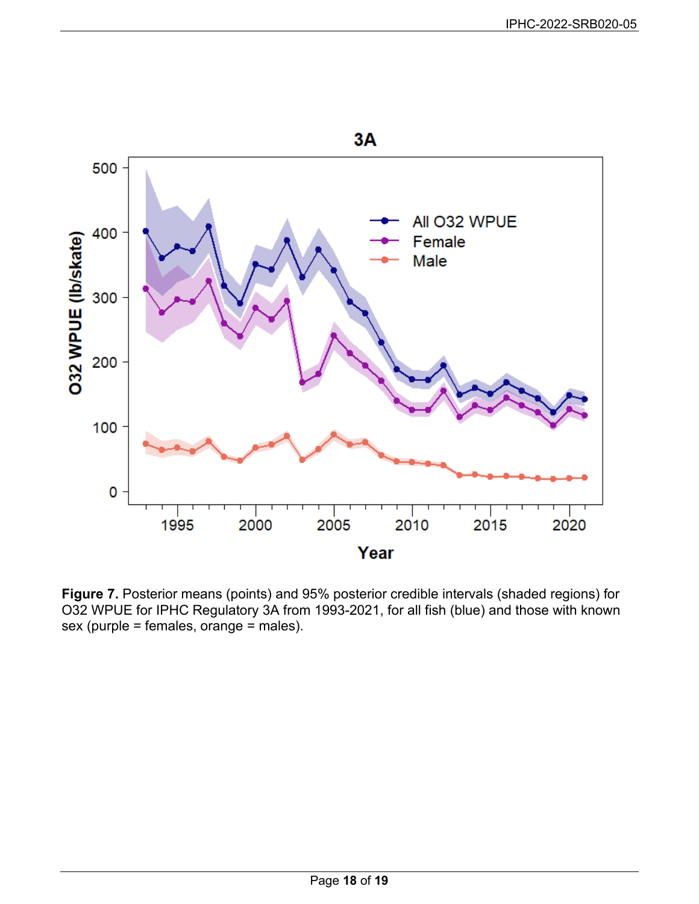<span id="page-17-0"></span>

**Figure 7.** Posterior means (points) and 95% posterior credible intervals (shaded regions) for O32 WPUE for IPHC Regulatory 3A from 1993-2021, for all fish (blue) and those with known sex (purple = females, orange = males).